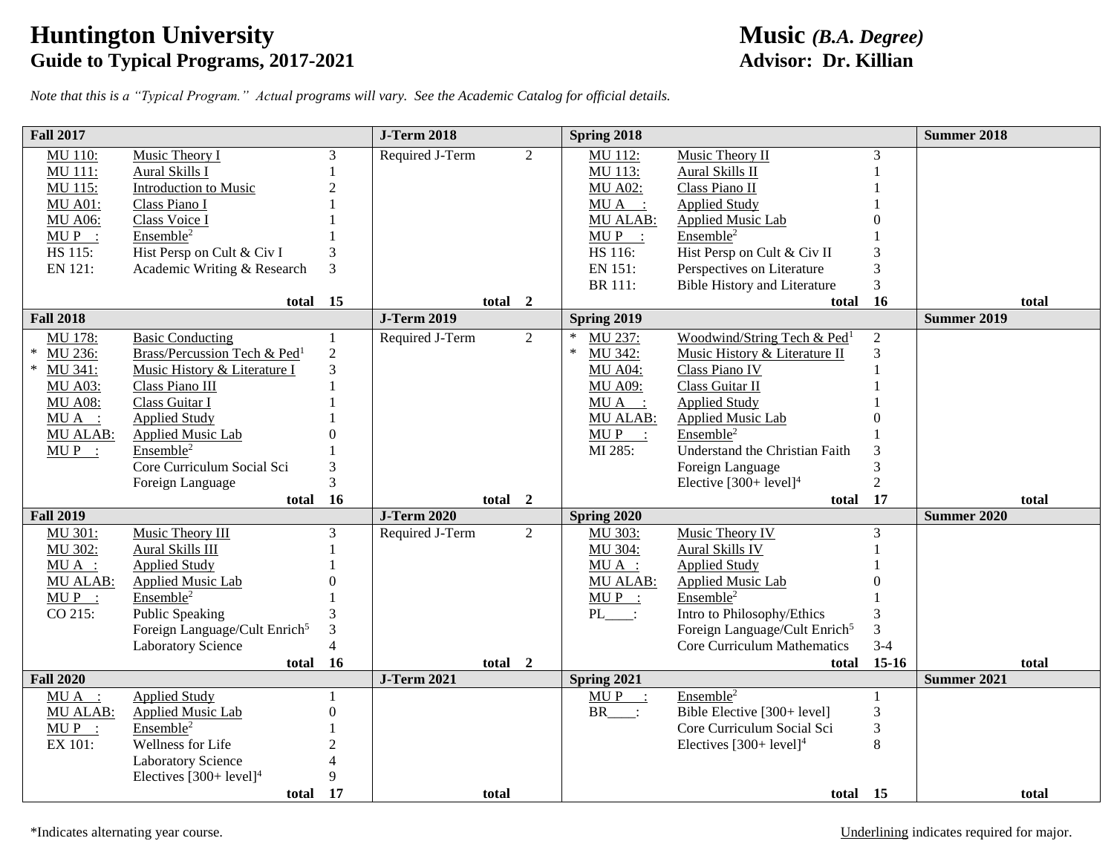## **Huntington University**<br> **Guide to Typical Programs, 2017-2021**<br> **Advisor: Dr. Killian Guide to Typical Programs, 2017-2021**

*Note that this is a "Typical Program." Actual programs will vary. See the Academic Catalog for official details.*

| <b>Fall 2017</b>           |                                                   |                | <b>J-Term 2018</b> |                | Spring 2018         |                                                   |                | <b>Summer 2018</b> |
|----------------------------|---------------------------------------------------|----------------|--------------------|----------------|---------------------|---------------------------------------------------|----------------|--------------------|
| <b>MU 110:</b>             | Music Theory I                                    | 3              | Required J-Term    | $\overline{2}$ | MU 112:             | Music Theory II                                   | 3              |                    |
| MU 111:                    | Aural Skills I                                    |                |                    |                | MU 113:             | Aural Skills II                                   |                |                    |
| MU 115:                    | Introduction to Music                             | $\overline{2}$ |                    |                | <b>MU A02:</b>      | Class Piano II                                    |                |                    |
| <b>MU A01:</b>             | Class Piano I                                     |                |                    |                | MUA :               | <b>Applied Study</b>                              |                |                    |
| <b>MU A06:</b>             | Class Voice I                                     |                |                    |                | MU ALAB:            | Applied Music Lab                                 |                |                    |
| $MUP$ :                    | Ensemble <sup>2</sup>                             |                |                    |                | $MUP$ :             | Ensemble <sup>2</sup>                             |                |                    |
| HS 115:                    | Hist Persp on Cult & Civ I                        | 3              |                    |                | HS 116:             | Hist Persp on Cult & Civ II                       | 3              |                    |
| EN 121:                    | Academic Writing & Research                       | 3              |                    |                | EN 151:             | Perspectives on Literature                        | 3              |                    |
|                            |                                                   |                |                    |                | BR 111:             | <b>Bible History and Literature</b>               | $\overline{3}$ |                    |
|                            | total 15                                          |                |                    | total 2        |                     | total                                             | 16             | total              |
| <b>Fall 2018</b>           |                                                   |                | <b>J-Term 2019</b> |                | Spring 2019         |                                                   |                | <b>Summer 2019</b> |
| MU 178:                    | <b>Basic Conducting</b>                           | 1              | Required J-Term    | $\overline{2}$ | $\ast$<br>MU 237:   | Woodwind/String Tech & Ped <sup>1</sup>           | $\overline{2}$ |                    |
| MU 236:                    | Brass/Percussion Tech & Ped <sup>1</sup>          | $\overline{2}$ |                    |                | $\ast$<br>MU 342:   | Music History & Literature II                     | 3              |                    |
| MU 341:                    | Music History & Literature I                      | 3              |                    |                | <b>MU A04:</b>      | Class Piano IV                                    |                |                    |
| <b>MU A03:</b>             | Class Piano III                                   |                |                    |                | <b>MU A09:</b>      | Class Guitar II                                   |                |                    |
| <b>MU A08:</b>             | Class Guitar I                                    |                |                    |                | MUA :               | <b>Applied Study</b>                              |                |                    |
| $MU A$ :                   | <b>Applied Study</b>                              |                |                    |                | <b>MU ALAB:</b>     | <b>Applied Music Lab</b>                          |                |                    |
| <b>MU ALAB:</b>            | Applied Music Lab                                 |                |                    |                | $MUP$ :             | Ensemble <sup>2</sup>                             |                |                    |
| $MUP$ :                    | Ensemble <sup>2</sup>                             |                |                    |                | MI 285:             | Understand the Christian Faith                    |                |                    |
|                            | Core Curriculum Social Sci                        | $\mathfrak{Z}$ |                    |                |                     | Foreign Language                                  | 3              |                    |
|                            | Foreign Language                                  | 3              |                    |                |                     | Elective $[300+level]4$                           | $\overline{2}$ |                    |
|                            | total 16                                          |                |                    | total 2        |                     | total                                             | 17             | total              |
| <b>Fall 2019</b>           |                                                   |                | <b>J-Term 2020</b> |                | Spring 2020         |                                                   |                | <b>Summer 2020</b> |
| <b>MU 301:</b>             | Music Theory III                                  | 3              | Required J-Term    | $\overline{2}$ | MU 303:             | Music Theory IV                                   | 3              |                    |
| MU 302:                    | Aural Skills III                                  |                |                    |                | MU 304:<br>$MU A$ : | <b>Aural Skills IV</b>                            |                |                    |
| $MU A$ :                   | <b>Applied Study</b>                              | $\Omega$       |                    |                | <b>MU ALAB:</b>     | <b>Applied Study</b>                              | 0              |                    |
| <b>MU ALAB:</b><br>$MUP$ : | <b>Applied Music Lab</b><br>Ensemble <sup>2</sup> |                |                    |                | $MUP$ :             | <b>Applied Music Lab</b><br>Ensemble <sup>2</sup> |                |                    |
| CO 215:                    | Public Speaking                                   | 3              |                    |                | $PL$ :              | Intro to Philosophy/Ethics                        | 3              |                    |
|                            | Foreign Language/Cult Enrich <sup>5</sup>         | 3              |                    |                |                     | Foreign Language/Cult Enrich <sup>5</sup>         | 3              |                    |
|                            | <b>Laboratory Science</b>                         | $\overline{4}$ |                    |                |                     | Core Curriculum Mathematics                       | $3 - 4$        |                    |
|                            | total 16                                          |                |                    | total 2        |                     | total                                             | $15-16$        | total              |
| <b>Fall 2020</b>           |                                                   |                | <b>J-Term 2021</b> |                | Spring 2021         |                                                   |                | <b>Summer 2021</b> |
| $MU A$ :                   | <b>Applied Study</b>                              |                |                    |                | $MUP$ :             | Ensemble <sup>2</sup>                             | $\mathbf{1}$   |                    |
| MU ALAB:                   | <b>Applied Music Lab</b>                          | $\mathbf{0}$   |                    |                | $BR$ :              | Bible Elective [300+ level]                       | $\mathfrak{Z}$ |                    |
| $MUP$ :                    | Ensemble <sup>2</sup>                             |                |                    |                |                     | Core Curriculum Social Sci                        | $\mathfrak{Z}$ |                    |
| EX 101:                    | Wellness for Life                                 | $\mathfrak{D}$ |                    |                |                     | Electives $[300+level]^4$                         | 8              |                    |
|                            | <b>Laboratory Science</b>                         |                |                    |                |                     |                                                   |                |                    |
|                            | Electives $[300+level]4$                          | 9              |                    |                |                     |                                                   |                |                    |
|                            | total 17                                          |                | total              |                |                     | total 15                                          |                | total              |